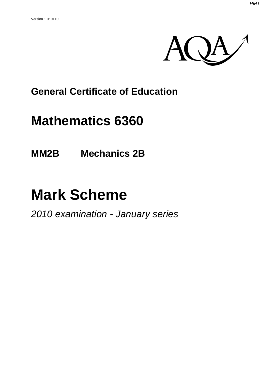

### **General Certificate of Education**

## **Mathematics 6360**

**MM2B Mechanics 2B** 

# **Mark Scheme**

*2010 examination - January series*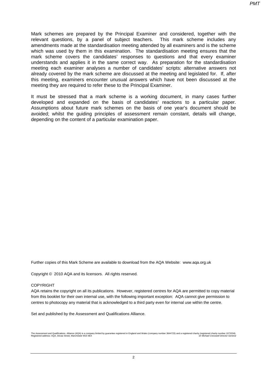Mark schemes are prepared by the Principal Examiner and considered, together with the relevant questions, by a panel of subject teachers. This mark scheme includes any amendments made at the standardisation meeting attended by all examiners and is the scheme which was used by them in this examination. The standardisation meeting ensures that the mark scheme covers the candidates' responses to questions and that every examiner understands and applies it in the same correct way. As preparation for the standardisation meeting each examiner analyses a number of candidates' scripts: alternative answers not already covered by the mark scheme are discussed at the meeting and legislated for. If, after this meeting, examiners encounter unusual answers which have not been discussed at the meeting they are required to refer these to the Principal Examiner.

It must be stressed that a mark scheme is a working document, in many cases further developed and expanded on the basis of candidates' reactions to a particular paper. Assumptions about future mark schemes on the basis of one year's document should be avoided; whilst the guiding principles of assessment remain constant, details will change, depending on the content of a particular examination paper.

Further copies of this Mark Scheme are available to download from the AQA Website: www.aqa.org.uk

Copyright © 2010 AQA and its licensors. All rights reserved.

#### COPYRIGHT

AQA retains the copyright on all its publications. However, registered centres for AQA are permitted to copy material from this booklet for their own internal use, with the following important exception: AQA cannot give permission to centres to photocopy any material that is acknowledged to a third party even for internal use within the centre.

Set and published by the Assessment and Qualifications Alliance.

The Assessment and Qualifications Alliance (AQA) is a company limited by guarantee registered in England and Wales (company number 3644723) and a registered charify (registered charity (mether of 201334).<br>Registered addres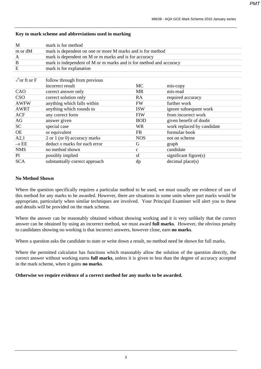| M                          | mark is for method                                                 |              |                            |  |  |
|----------------------------|--------------------------------------------------------------------|--------------|----------------------------|--|--|
| m or dM                    | mark is dependent on one or more M marks and is for method         |              |                            |  |  |
| A                          | mark is dependent on M or m marks and is for accuracy              |              |                            |  |  |
| B                          | mark is independent of M or m marks and is for method and accuracy |              |                            |  |  |
| E                          | mark is for explanation                                            |              |                            |  |  |
|                            |                                                                    |              |                            |  |  |
| $\sqrt{\text{or ft or F}}$ | follow through from previous                                       |              |                            |  |  |
|                            | incorrect result                                                   | МC           | mis-copy                   |  |  |
| CAO                        | correct answer only                                                | MR           | mis-read                   |  |  |
| <b>CSO</b>                 | correct solution only                                              | RA           | required accuracy          |  |  |
| <b>AWFW</b>                | anything which falls within                                        | <b>FW</b>    | further work               |  |  |
| <b>AWRT</b>                | anything which rounds to                                           | <b>ISW</b>   | ignore subsequent work     |  |  |
| <b>ACF</b>                 | any correct form                                                   | <b>FIW</b>   | from incorrect work        |  |  |
| AG                         | answer given                                                       | <b>BOD</b>   | given benefit of doubt     |  |  |
| <b>SC</b>                  | special case                                                       | <b>WR</b>    | work replaced by candidate |  |  |
| <b>OE</b>                  | or equivalent                                                      | <b>FB</b>    | formulae book              |  |  |
| A2,1                       | 2 or 1 (or 0) accuracy marks                                       | <b>NOS</b>   | not on scheme              |  |  |
| $-xEE$                     | deduct x marks for each error                                      | G            | graph                      |  |  |
| <b>NMS</b>                 | no method shown                                                    | $\mathbf{C}$ | candidate                  |  |  |
| PI.                        | possibly implied                                                   | sf           | significant figure(s)      |  |  |
| <b>SCA</b>                 | substantially correct approach                                     | dp           | decimal place(s)           |  |  |

#### **Key to mark scheme and abbreviations used in marking**

#### **No Method Shown**

Where the question specifically requires a particular method to be used, we must usually see evidence of use of this method for any marks to be awarded. However, there are situations in some units where part marks would be appropriate, particularly when similar techniques are involved. Your Principal Examiner will alert you to these and details will be provided on the mark scheme.

Where the answer can be reasonably obtained without showing working and it is very unlikely that the correct answer can be obtained by using an incorrect method, we must award **full marks**. However, the obvious penalty to candidates showing no working is that incorrect answers, however close, earn **no marks**.

Where a question asks the candidate to state or write down a result, no method need be shown for full marks.

Where the permitted calculator has functions which reasonably allow the solution of the question directly, the correct answer without working earns **full marks**, unless it is given to less than the degree of accuracy accepted in the mark scheme, when it gains **no marks**.

#### **Otherwise we require evidence of a correct method for any marks to be awarded.**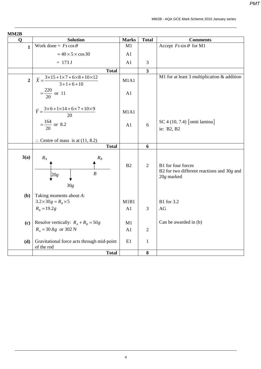*PMT*

| MM <sub>2</sub> B |                                                                                              |                |                         |                                                                                |
|-------------------|----------------------------------------------------------------------------------------------|----------------|-------------------------|--------------------------------------------------------------------------------|
| Q                 | <b>Solution</b>                                                                              | <b>Marks</b>   | <b>Total</b>            | <b>Comments</b>                                                                |
| $\mathbf{1}$      | Work done = $Fs \cos \theta$                                                                 | M1             |                         | Accept $Fs \sin \theta$ for M1                                                 |
|                   | $= 40 \times 5 \times \cos 30$                                                               | A <sub>1</sub> |                         |                                                                                |
|                   | $= 173 J$                                                                                    | A1             | $\mathfrak{Z}$          |                                                                                |
|                   | <b>Total</b>                                                                                 |                | $\overline{\mathbf{3}}$ |                                                                                |
| $\overline{2}$    | $\overline{X} = \frac{3 \times 15 + 1 \times 7 + 6 \times 8 + 10 \times 12}{3 + 1 + 6 + 10}$ | M1A1           |                         | M1 for at least 3 multiplication & addition                                    |
|                   | $=\frac{220}{20}$ or 11                                                                      | A1             |                         |                                                                                |
|                   | $\overline{Y} = \frac{3 \times 6 + 1 \times 14 + 6 \times 7 + 10 \times 9}{20}$              | M1A1           |                         |                                                                                |
|                   | $=\frac{164}{20}$ or 8.2                                                                     | A1             | 6                       | $SC$ 4 (10, 7.4) [omit lamina]<br>ie: B2, B2                                   |
|                   | $\therefore$ Centre of mass is at (11, 8.2)                                                  |                |                         |                                                                                |
|                   | <b>Total</b>                                                                                 |                | 6                       |                                                                                |
| 3(a)              | $R_{A}$<br>$R_B$<br>$\boldsymbol{B}$<br>20g                                                  | B2             | $\overline{2}$          | B1 for four forces<br>B2 for two different reactions and 30g and<br>20g marked |
| (b)               | 30g<br>Taking moments about A:<br>$3.2 \times 30g = R_B \times 5$<br>$R_{B} = 19.2g$         | M1B1<br>A1     | 3                       | <b>B1</b> for 3.2<br>AG                                                        |
| (c)               | Resolve vertically: $R_A + R_B = 50g$<br>$R_{A} = 30.8g$ or 302 N                            | M1<br>A1       | $\mathbf{2}$            | Can be awarded in (b)                                                          |
| (d)               | Gravitational force acts through mid-point<br>of the rod                                     | E1             | $\mathbf{1}$            |                                                                                |
|                   | <b>Total</b>                                                                                 |                | 8                       |                                                                                |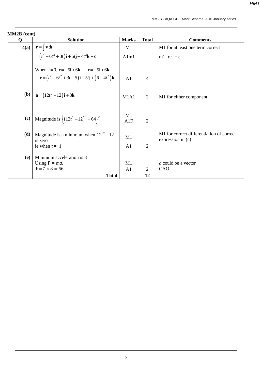|      | <b>MM2B</b> (cont)                                                                                     |                |                |                                                                |  |
|------|--------------------------------------------------------------------------------------------------------|----------------|----------------|----------------------------------------------------------------|--|
| O    | <b>Solution</b>                                                                                        | <b>Marks</b>   | <b>Total</b>   | <b>Comments</b>                                                |  |
| 4(a) | $\mathbf{r} = \vert \mathbf{v} \, \mathrm{d}t$                                                         | M1             |                | M1 for at least one term correct                               |  |
|      | $=(t^4-6t^2+3t)\mathbf{i}+5t\mathbf{j}+4t^2\mathbf{k}+\mathbf{c}$                                      | Alm1           |                | m1 for $+c$                                                    |  |
|      | When $t=0$ , $\mathbf{r}=-5\mathbf{i}+6\mathbf{k}$ : $\mathbf{c}=-5\mathbf{i}+6\mathbf{k}$             |                |                |                                                                |  |
|      | $\therefore$ <b>r</b> = $(t^4 - 6t^2 + 3t - 5)$ <b>i</b> + 5 <i>t</i> <b>j</b> + $(6 + 4t^2)$ <b>k</b> | A <sub>1</sub> | $\overline{4}$ |                                                                |  |
| (b)  | $a = (12t^2 - 12)i + 8k$                                                                               | M1A1           | $\overline{2}$ | M1 for either component                                        |  |
| (c)  | Magnitude is $\left\{ (12t^2 - 12)^2 + 64 \right\}^{\frac{1}{2}}$                                      | M1<br>A1F      | $\overline{2}$ |                                                                |  |
| (d)  | Magnitude is a minimum when $12t^2 - 12$<br>is zero                                                    | M1             |                | M1 for correct differentiation of correct<br>expression in (c) |  |
|      | ie when $t = 1$                                                                                        | A <sub>1</sub> | $\overline{2}$ |                                                                |  |
| (e)  | Minimum acceleration is 8                                                                              |                |                |                                                                |  |
|      | Using $F = ma$ ,                                                                                       | M1             |                | a could be a vector                                            |  |
|      | $F = 7 \times 8 = 56$                                                                                  | A <sub>1</sub> | 2              | CAO                                                            |  |
|      | <b>Total</b>                                                                                           |                | 12             |                                                                |  |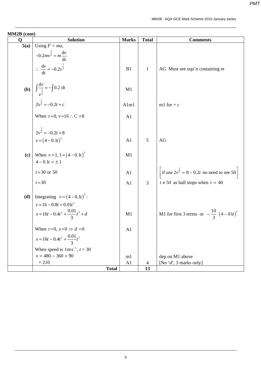| MM2B (cont) |                                                                                                               |                |              |                                                        |  |  |
|-------------|---------------------------------------------------------------------------------------------------------------|----------------|--------------|--------------------------------------------------------|--|--|
| Q           | <b>Solution</b>                                                                                               | <b>Marks</b>   | <b>Total</b> | <b>Comments</b>                                        |  |  |
| 5(a)        | Using $F = ma$ ,                                                                                              |                |              |                                                        |  |  |
|             | $-0.2mv^{\frac{1}{2}} = m\frac{dv}{dt}$<br>$\therefore \frac{dv}{dt} = -0.2v^{\frac{1}{2}}$                   | B1             | 1            | AG Must see equ'n containing $m$                       |  |  |
|             | <b>(b)</b> $\int \frac{dv}{v^2} = -\int 0.2 dt$<br>$2v^{\frac{1}{2}} = -0.2t + c$                             | M1             |              |                                                        |  |  |
|             |                                                                                                               | Alm1           |              | m1 for $+c$                                            |  |  |
|             | When $t=0$ , $v=16$ : $C=8$                                                                                   | A1             |              |                                                        |  |  |
|             |                                                                                                               |                |              |                                                        |  |  |
|             | $2v^{\frac{1}{2}} = -0.2t + 8$<br>$v = (4 - 0.1t)^2$                                                          | A1             | 5            | AG                                                     |  |  |
|             | (c) When $v=1$ , $1=(4-0.1t)^2$<br>$4 - 0.1t = \pm 1$                                                         | M1             |              |                                                        |  |  |
|             | $t = 30$ or 50                                                                                                | A <sub>1</sub> |              | if use $2v^{\frac{1}{2}} = 8 - 0.2t$ no need to see 50 |  |  |
|             | $t = 30$                                                                                                      | A <sub>1</sub> | 3            | $t \neq 50$ as ball stops when $t = 40$                |  |  |
|             | (d) Integrating $v = (4-0.1t)^2$ :<br>$v = 16 - 0.8t + 0.01t^2$<br>$x = 16t - 0.4t^2 + \frac{0.01}{3}t^3 + d$ |                |              |                                                        |  |  |
|             |                                                                                                               | M1             |              | M1 for first 3 terms or $-\frac{10}{3}(4-01t)^3$       |  |  |
|             | When $t=0$ , $x=0 \Rightarrow d=0$                                                                            | A1             |              |                                                        |  |  |
|             | $x = 16t - 0.4t^2 + \frac{0.01}{2}t^3$                                                                        |                |              |                                                        |  |  |
|             | When speed is $1 \text{ms}^{-1}$ , $t = 30$                                                                   |                |              |                                                        |  |  |
|             | $x = 480 - 360 + 90$                                                                                          | m1             |              | dep on M1 above                                        |  |  |
|             | $= 210$                                                                                                       | A1             | 4            | [No 'd', 3 marks only]                                 |  |  |
|             | <b>Total</b>                                                                                                  |                | 13           |                                                        |  |  |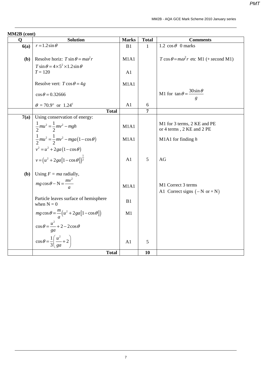| Q    | <b>Solution</b>                                                                        | <b>Marks</b> | <b>Total</b>   | <b>Comments</b>                                              |
|------|----------------------------------------------------------------------------------------|--------------|----------------|--------------------------------------------------------------|
| 6(a) | $r = 1.2 \sin \theta$                                                                  | B1           | $\mathbf{1}$   | 1.2 $\cos \theta$ 0 marks                                    |
| (b)  | Resolve horiz: $T \sin \theta = m\omega^2 r$                                           | M1A1         |                | $T \cos \theta = m\omega^2 r$ etc M1 (+ second M1)           |
|      | $T \sin \theta = 4 \times 5^2 \times 1.2 \sin \theta$<br>$T = 120$                     | A1           |                |                                                              |
|      | Resolve vert: $T \cos \theta = 4g$                                                     | M1A1         |                |                                                              |
|      | $\cos\theta = 0.32666$                                                                 |              |                | M1 for $\tan \theta = \frac{30 \sin \theta}{\pi}$            |
|      | $\theta = 70.9^{\circ}$ or 1.24 <sup>c</sup>                                           | A1           | 6              |                                                              |
|      | <b>Total</b>                                                                           |              | $\overline{7}$ |                                                              |
| 7(a) | Using conservation of energy:<br>$rac{1}{2}mu^2 = \frac{1}{2}mv^2 - mgh$               | M1A1         |                | M1 for 3 terms, 2 KE and PE<br>or 4 terms, 2 KE and 2 PE     |
|      | $\frac{1}{2}mu^{2} = \frac{1}{2}mv^{2} - mga(1-\cos\theta)$                            | M1A1         |                | M1A1 for finding $h$                                         |
|      | $v^2 = u^2 + 2ga(1 - \cos \theta)$<br>$v = (u^2 + 2ga[1 - \cos \theta])^{\frac{1}{2}}$ | A1           | 5              | AG                                                           |
| (b)  | Using $F = ma$ radially,                                                               |              |                |                                                              |
|      | $mg \cos \theta - N = \frac{mv^2}{m}$                                                  | M1A1         |                | M1 Correct 3 terms<br>A1 Correct signs $(-N \text{ or } +N)$ |
|      | Particle leaves surface of hemisphere<br>when $N = 0$                                  | B1           |                |                                                              |
|      | $mg\cos\theta = \frac{m}{a}\left(u^2 + 2ga[1-\cos\theta]\right)$                       | M1           |                |                                                              |
|      | $\cos\theta = \frac{u^2}{g} + 2 - 2\cos\theta$                                         |              |                |                                                              |
|      | $\cos\theta = \frac{1}{3}\left(\frac{u^2}{ga} + 2\right)$                              | A1           | 5              |                                                              |
|      | <b>Total</b>                                                                           |              | 10             |                                                              |